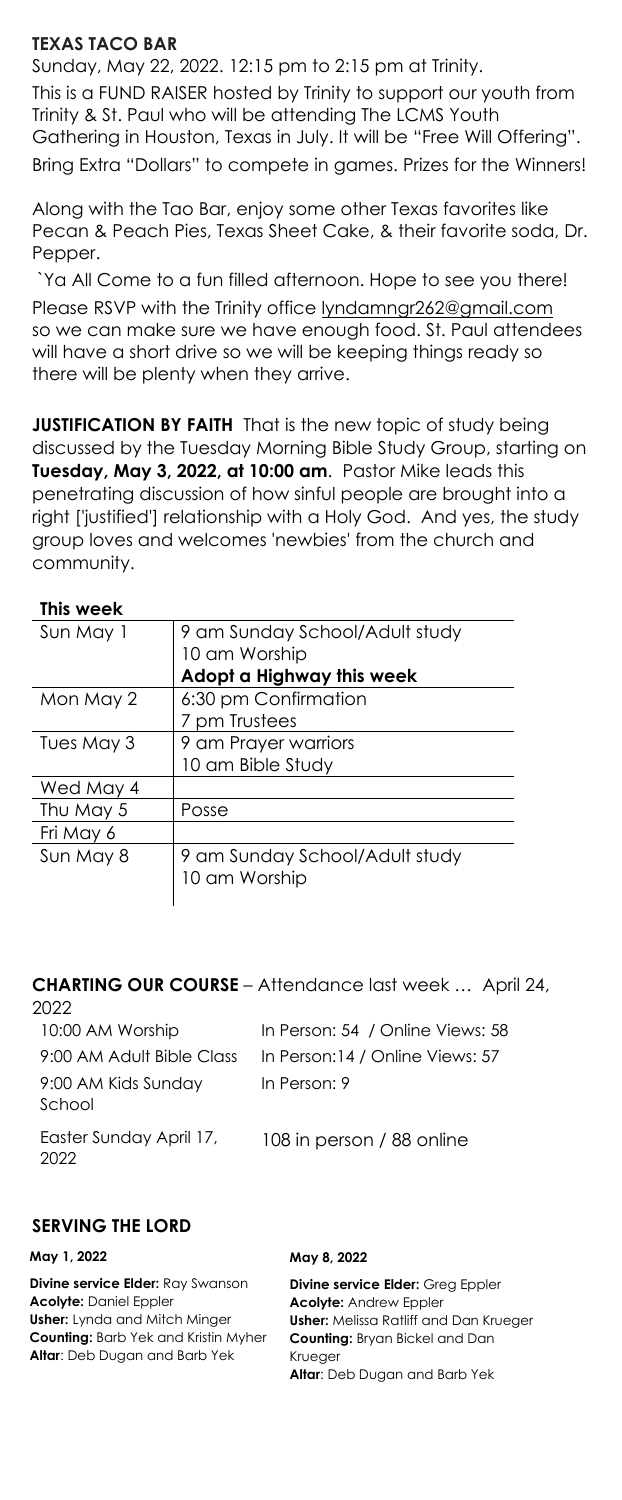# **TEXAS TACO BAR**

Sunday, May 22, 2022. 12:15 pm to 2:15 pm at Trinity. This is a FUND RAISER hosted by Trinity to support our youth from Trinity & St. Paul who will be attending The LCMS Youth Gathering in Houston, Texas in July. It will be "Free Will Offering". Bring Extra "Dollars" to compete in games. Prizes for the Winners!

Along with the Tao Bar, enjoy some other Texas favorites like Pecan & Peach Pies, Texas Sheet Cake, & their favorite soda, Dr. Pepper.

`Ya All Come to a fun filled afternoon. Hope to see you there! Please RSVP with the Trinity office lyndamngr262@gmail.com so we can make sure we have enough food. St. Paul attendees will have a short drive so we will be keeping things ready so there will be plenty when they arrive.

**JUSTIFICATION BY FAITH** That is the new topic of study being discussed by the Tuesday Morning Bible Study Group, starting on **Tuesday, May 3, 2022, at 10:00 am**. Pastor Mike leads this penetrating discussion of how sinful people are brought into a right ['justified'] relationship with a Holy God. And yes, the study group loves and welcomes 'newbies' from the church and community.

### **This week**

| Sun May 1  | 9 am Sunday School/Adult study                  |
|------------|-------------------------------------------------|
|            | 10 am Worship                                   |
|            | Adopt a Highway this week                       |
| Mon May 2  | 6:30 pm Confirmation                            |
|            | 7 pm Trustees                                   |
| Tues May 3 | 9 am Prayer warriors                            |
|            | 10 am Bible Study                               |
| Wed May 4  |                                                 |
| Thu May 5  | Posse                                           |
| Fri May 6  |                                                 |
| Sun May 8  | 9 am Sunday School/Adult study<br>10 am Worship |

#### **CHARTING OUR COURSE** – Attendance last week … April 24, 2022

| 10:00 AM Worship                | In Person: 54 / Online Views: 58 |
|---------------------------------|----------------------------------|
| 9:00 AM Adult Bible Class       | In Person:14 / Online Views: 57  |
| 9:00 AM Kids Sunday<br>School   | In Person: 9                     |
| Easter Sunday April 17,<br>2022 | 108 in person / 88 online        |

## **SERVING THE LORD**

### **May 1, 2022**

**Divine service Elder:** Ray Swanson **Acolyte:** Daniel Eppler **Usher:** Lynda and Mitch Minger **Counting:** Barb Yek and Kristin Myher **Altar**: Deb Dugan and Barb Yek

#### **May 8, 2022**

**Divine service Elder:** Greg Eppler **Acolyte:** Andrew Eppler **Usher:** Melissa Ratliff and Dan Krueger **Counting:** Bryan Bickel and Dan Krueger **Altar**: Deb Dugan and Barb Yek